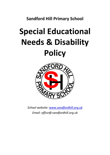**Sandford Hill Primary School**

# **Special Educational Needs & Disability Policy**



*School website: [www.sandfordhill.org.uk](http://www.sandfordhill.org.uk/) Email: [office@sandfordhill.org.uk](mailto:sandfordhill@sgfl.org.uk)*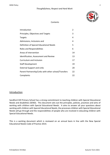#### *Thoughtfulness, Respect and Hard Work*



#### **Contents**

| Introduction                                         | 2  |
|------------------------------------------------------|----|
| Principles, Objectives and Targets                   | 3  |
| Targets                                              | 4  |
| Admissions, Inclusions and                           | 4  |
| Definition of Special Educational Needs              | 5  |
| Roles and Responsibilities                           | 6  |
| Areas of intervention                                | 14 |
| Identification, Assessment and Review                | 13 |
| Curriculum and Inclusion                             | 17 |
| <b>Staff Development</b>                             | 19 |
| <b>External Support and Links</b>                    | 20 |
| Parent Partnership/Links with other school/Transfers | 22 |
| Complaints                                           | 22 |

## **Introduction**

Sandford Hill Primary School has a strong commitment to teaching children with Special Educational Needs and disabilities (SEND). This document sets out the principles, policies, practices and aims of working with children with Special Educational Needs. It aims to answer all your questions about working with children with Special Educational Needs, the processes children with Special Educational Needs will go through and the responsibilities of people who are involved in educating children with Special Educational Needs.

This is a working document which is reviewed on an annual basis in line with the New Special Educational Needs Code of Practice 2014.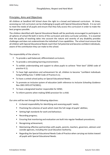## Principles, Aims and Objectives

All children at Sandford Hill School share the right to a broad and balanced curriculum. At times, accessing our rich curriculum can be challenging to pupils with Special Educational Needs. It is our aim to meet the needs of all pupils and ensure that they fully access this curriculum in order to make the best progress possible.

The children identified with Special Educational Needs will be positively encouraged to participate in all spheres of school life both in terms of the curriculum and extra-curricular activities. It is essential that the quality of teaching takes into account the nature and severity of any disability provides challenges and does not underestimate the individual's true capabilities. The school must ensure that all children with Special Educational Needs reach their full potential and become confident individuals, aware of the contribution they can make to the school.

The responsibility of the school is:

- To provide a well-balanced, differentiated curriculum;
- To provide a stimulating learning environment;
- To exhibit understanding and support to allow pupils to achieve "their best" (SEND code of practice 6.1);
- To have high aspirations and achievement for all, children to become "confident individuals living fulfilling lives."( SEND Code of Practice 6.1);
- To have a united school policy on Special Educational Needs.
- To promote an inclusive system of education (with reference to *Inclusive Schooling Guidance* Nov 2001 DFES 0774/2001);
- To have a designated teacher responsible for SEND;
- To inform parents when making SEND provision for a child.

Our aims will be met through the following objectives:

- A shared responsibility for identifying and assessing pupils' needs;
- Practising the schemes of work which meet the full range of pupils' abilities;
- Setting high standards for work and behaviour;
- Recording progress;
- Ensuring that monitoring and evaluation are built into regular feedback procedures;
- Recognising achievement;
- Maintaining effective partnerships with pupils, parents, teachers, governors, advisors and outside agencies, including the Local Education Authority;
- Regarding the Special Educational Needs Code of Practice when carrying out duties toward all pupils with Special Educational Needs.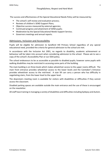The success and effectiveness of the Special Educational Needs Policy will be measured by:

- The school's self-review and evaluation process;
- Reviews of children's SEND Support Plans;
- Objective success measured by external agencies;
- Continued progress and attainment of SEND pupils;
- Moderation by the Special Educational Needs Support Service;
- Governors meetings and annual reports.

#### Admissions, Inclusion and Accessibility

Pupils will be eligible for admission to Sandford Hill Primary School regardless of any special educational need, provided the criteria for general admission to the school are met.

In accordance with the Inclusion Act 2001, no regards to disability, academic achievement or behaviour will be taken into account when considering admission to the school. Please ask to see a copy of the school's Accessibility Plan or our DDA policy.

The school endeavours to be as accessible as possible to disabled pupils; however some pupils with walking disabilities may be restricted in accessing some parts of the building.

The main building is on three levels which makes wheelchair access to the upper rooms difficult. The main front entrance provides wheelchair access to the lower levels and the Caretaker's Entrance provides wheelchair access to the mid-level. A stair lift can carry a person who has difficulty in negotiating stairs, from the lower level to the upper level.

The downstairs meeting room is available for visitors with disabilities or difficulties if they cannot access the classroom.

Disabled parking spaces are available outside the main entrance and the use of these is encouraged on the newsletter.

All staff have training in managing a variety of disabilities and difficulties including Epilepsy and Autism.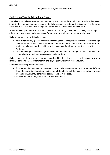## Definition of Special Educational Needs

Special Educational Needs is often abbreviated to SEND. At Sandford Hill, pupils are classed as having SEND if they require additional support to fully access the National Curriculum. The following definition of SEND comes from the Special Educational Needs Code of Practice 2014.

"Children have special educational needs where their learning difficulty or disability calls for special educational provision namely provision different from or additional to that normally given."

Children have a learning difficulty if they:

- a) have a significantly greater difficulty in learning than the majority of children of the same age;
- b) have a disability which prevents or hinders them from making use of educational facilities of a kind generally provided for children of the same age in schools within the area of the Local Authority;
- c) are under compulsory school age and fall within the definition at (a) or (b) above, or would do, if special educational provision was not made for them.

Children must not be regarded as having a learning difficulty solely because the language or form of language of their home is different from the language in which they will be taught.

Special educational provision means:

- a) for children of two or over, educational provision which is additional to, or otherwise different from, the educational provision made generally for children of their age in schools maintained by the Local Authority, other than special schools, in the area.
- b) for children under two, educational provision of any kin.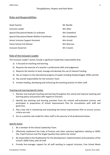## Roles and Responsibilities

| <b>Head Teacher</b>                            | Mr Wardle      |
|------------------------------------------------|----------------|
| Inclusion Leader                               | Mrs Allen      |
| Special Educational Needs Co-ordinator         | Mrs Drakeford  |
| Special Educational Needs Welfare Practitioner | Mrs Greatbatch |
| Senior Inclusion Support Assistant             | Mrs Arnott     |
| Home School Link Worker                        | Mrs Brennan    |
| <b>Inclusion Governor</b>                      | Mr C Austin    |

## Role of the Inclusion Leader

The Inclusion Leader's duties include a significant leadership responsibility that:

- a) Is focused on teaching and learning.
- b) Requires the exercise of a teacher's professional skills and judgement.
- c) Requires the teacher to lead, manage and develop the use of relevant funding.
- d) Has an impact on the educational progress of pupils including disadvantaged, SEND and EAL.
- e) Has overall responsibility for the Inclusion Team.
- f) Involves leading, developing and enhancing the teaching practice of other staff.

#### Teaching and Learning Specific Duties

- 1. Monitor and evaluate teaching and learning throughout the school and improve teaching and learning policy and practice with regard to inclusion.
- 2. Identify key teaching and learning priorities from the schools self-evaluation process and participate in preparation of School Improvement Plan for consultation with staff and governors.
- 3. Play a key role in monitoring and evaluating the School Improvement Plan to ensure success criteria are met.
- 4. Act as a positive role model for other staff in the exercise of all professional duties.

#### Specific Duties

- 1. Be a member of the School Leadership Team.
- 2. Effectively implement the Code of Practice and other statutory legislation relating to SEND, EAL, Pupil Premium and The Single Equality Duty within the school.
- 3. Be responsible to the Headteacher for the development, implementation and evaluation of the school's SEND Policy with all staff.
- 4. Provide line-manager support for all staff working to support Inclusion, Free School Meals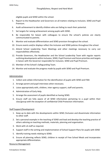eligible pupils and SEND within the school.

- 5. Report to the Headteacher and Governors on all matters relating to Inclusion, SEND and Pupil Premium.
- 6. Audit achievement to identify children who are failing to reach their potential.
- 7. Set targets for raising achievement among pupils with SEND.
- 8. Be responsible for liaison with colleagues to ensure the school's policies are clearly communicated to parents.
- 9. Monitor and evaluate differentiation and SEND provision throughout the school.
- 10. Ensure events and/or displays reflect the Inclusion and SEND policies throughout the school.
- 11. Attend School Leadership Team Meetings and other meetings necessary to carry out responsibilities effectively.
- 12. Provide Governors, the Headteacher and the School Leadership Team with regular reports outlining developments within Inclusion, SEND, Pupil Premium and future priorities and targets in liaison with the Governor responsible for Inclusion, SEND and Pupil Premium.
- 13. Member of the School's Safeguarding Team.
- 14. Monitor and evaluate the progress made by pupils with SEND and Pupil Premium.

#### Administration

- 1. Collect and collate information for the identification of pupils with SEND and FSM.
- 2. Arrange parent and pupil interviews when necessary.
- 3. Liaise appropriately with, children, inter-agency support, staff and parents.
- 4. Administration of Early Help.
- 5. Arrange the assessment of pupils identified as having SEND.
- 6. Ensure staff are fully aware of all SEND information pertaining to a pupil within their class/group with the exception of confidential Child Protection information.

#### Staff Support/Development

- 1. Keep up to date with the developments within SEND /Inclusion and disseminate information to other staff.
- 2. Set a personal example in the teaching of SEND and lead and develop the teaching practice of others advising on teaching methods, materials, planning and organisation.
- 3. Work with LA staff as required.
- 4. Support staff in the writing and implementation of School Support Plans for pupils with SEND
- 5. Identify training needs relating to SEND.
- 6. Ensure all planning reflects SEND, children in receipt of Free School Meals and incorporates appropriate differentiation.

#### Resource Management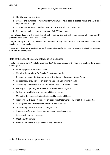- 1. Identify resource priorities.
- 2. Oversee the purchase of resources for which funds have been allocated within the SEND and Pupil Premium budget.
- 3. Oversee the requisition, auditing and monitoring of all SEND resources.
- 4. Oversee the maintenance and storage of all SEND resources.

The Inclusion Leader will ensure that all duties are carried out within the context of school and LA policy on race, gender and Special Needs.

This job description may be reviewed and amended at any time after discussion between the named teacher and Headteacher.

The school grievance procedure for teachers, applies in relation to any grievance arising in connection with this job description.

## Role of the Special Educational Needs Co-ordinator

The Special Educational Needs Co-ordinator (SENCo) does not currently have responsibility for a class, working 0.6 FTE.

- **Auditing Special Educational Needs**
- Mapping the provision for Special Educational Needs
- Overseeing the day-to-day operation of the Special Educational Needs Policy
- Co-ordinating provision for children with Special Educational Needs
- Overseeing the records of all children with Special Educational Needs
- Keeping and Updating the Special Educational Needs register
- Reviewing the children on the Special Needs Register
- Managing the resource budget for Special Educational Needs
- Producing SEND support plans for children with Statements/EHC or at School Support 2
- Liaising with and advising fellow teachers and assistants
- Contributing to the in-service training of staff
- Organising referrals to the school nurse and outside agencies
- Liaising with external agencies
- Meeting with parents
- Accountable to the Inclusion Leader and Headteacher

## Role of the Inclusion Support Assistant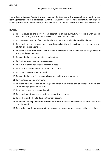The Inclusion Support Assistant provides support to teachers in the preparation of teaching and learning materials. Also, in collaboration with the Inclusion Leader, provides learning support to pupils working in and out of the classroom, to enable them to continue to access the mainstream curriculum.

#### **DUTIES:**

- 1. To contribute to the delivery and adaptation of the curriculum for pupils with Special Educational, Physical, Emotional, Social and Developmental needs.
- 2. To maintain a daily log of work undertaken, pupils supported and timetable followed.
- 3. To record and report information concerning pupils to the Inclusion Leader or relevant member of staff or outside agencies.
- 4. To assist the Inclusion Leader and classroom teachers in the preparation of programmes of study for designated pupils.
- 5. To assist in the preparation of aids and material.
- 6. To monitor use of equipment/resources.
- 7. To join in with the activities of children in class.
- 8. To assist the teacher in the supervision of children.
- 9. To contact parents when required.
- 10. To assist in the provision of general care and welfare when required.
- 11. To maintain a safe environment.
- 12. To work with individuals or small groups which may include out of school hours on predetermined programmes of study.
- 13. To act as key worker to named pupils.
- 14. To provide emotional and behavioural support to children.
- 15. To work with children to develop their self-esteem.
- 16. To modify learning within the curriculum to ensure access by individual children with more complex needs.
- 17. To develop creative approaches to help engage reluctant learners to access the curriculum.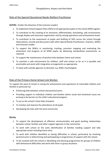# Role of the Special Educational Needs Welfare Practitioner

#### **DUTIES:** (Under the direction of the Inclusion Leader)

- 1. To implement School Support Plans (SSPs) to all appropriate pupils on the school SEND register.
- 2. To contribute to the creating of an attractive, differentiated, stimulating, safe environment, through display and classroom organisation and by raising aspirations and achievement levels.
- 3. To contribute to the assessment of pupils and drafting of SSPs across the school through observations, records and discussions with other Special Needs Practitioners, Teachers, SENCo and Inclusion Leader.
- 4. To support the SENCo in monitoring, tracking, provision mapping and evaluating the attainment and progress of all SEND pupils, by delivering standardised assessments, as required.
- 5. To support the maintenance of positive links between home and school.
- 6. To maintain a safe environment for children, staff and visitors as far as it is possible and practicable and assist with integration arrangements as appropriate.
- 7. To liaise with outside agencies as directed, e.g. SEND, Psychologists.

## Role of the Primary Home School Link Worker.

To support the work of school in raising the achievement and aspirations of vulnerable children and families in particular by:

- Enhancing links between school and parents/carers
- Providing support to individual children and families where social and emotional issues are proving to be barriers to the child's educational progress
- To act as the school's Early Help champion
- To monitor and improve the attendance of all pupils
- Developing the links with the local community

#### **DUTIES**

- 1. To support the development of effective communication and good working relationships between school, families and other support agencies in the community.
- 2. To work with school on the early identification of families needing support and take appropriate action including home visits.
- 3. To work with children identified as having difficulties in school, particularly by involving parents/carers in determining and participating in programmes of support with the school.
- 4. To be involved with the school in identifying and devising programmes for groups of children with behavioural difficulties and work with them in group situations.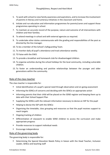- 5. To work with school to raise family awareness and aspirations, and to increase the involvement of parents in literacy and numeracy initiatives in the classroom and home.
- 6. Initiate and run education and information programmes for parents/carers and support those programmes operating in school.
- 7. To maintain an accurate record of the purpose, nature and outcome of all interventions with children and their families.
- 8. To attend meetings in school and with external agencies as required.
- 9. To undertake other duties commensurate with the grading and responsibilities of the post as directed by the line manager.
- 10. To be a member of the School's Safeguarding Team.
- 11. To monitor daily all pupil's attendance and track attendance weekly.
- 12. TO liaise with the EWO.
- 13. To provide a breakfast and homework club for disadvantaged children.
- 14. To organise activities during the school holidays for the local community, including vulnerable children.
- 15. To foster an understanding and positive relationships between the younger and older generations within the community.

## Role of the class teacher

The class teacher is responsible for:

- Initial identification of a pupil's special need through observation and on-going assessment
- Informing the SENCo of concerns and deciding with the SENCo on appropriate action
- Informing parents that their child will be placed on the SEND register and keeping them up to date with their School Support Plan
- Supplying the SENCo with the relevant information necessary to devise an SSP for the pupil
- Helping to devise the SSP with the SENCo
- Organising the timetable, class grouping and resources so that the pupil receives support to reach targets
- Ongoing tracking of children
- Differentiation of classwork to enable SEND children to access the curriculum and make appropriate progress
- Provide resources to support individual needs
- **Encourage independence**

## Role of the governing body

The governing body is responsible for:

**•** Determining the Special Education Needs Policy in liaison with the Head Teacher, Inclusion Leader, SENCo and teaching staff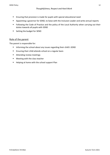- Ensuring that provision is made for pupils with special educational need
- Appointing a governor for SEND, to liaise with the Inclusion Leader and write annual reports
- Following the Code of Practice and the policy of the Local Authority when carrying out their duties towards all pupils with SEND
- Setting the budget for SEND

# Role of the parent

The parent is responsible for:

- **■** Informing the school about any issues regarding their child's SEND
- Ensuring their child attends school on a regular basis
- Attending review meetings
- Meeting with the class teacher
- Helping at home with the school support Plan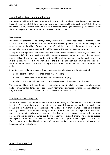## Identification, Assessment and Review

Provision for children with SEND is a matter for the school as a whole. In addition to the governing body, all members of staff have important day to day responsibilities in teaching SEND children. At the heart of every class is a continuous cycle of planning, teaching and assessing. This takes account the wide range of abilities, aptitudes and interests of the children.

#### Identification

When children enter the school, it may already be known that the child has a special educational need. In consultation with the parents and previous school, relevant practices can be immediately put into place to support the child. Through the Home/School Agreement, it is important to have the full support of parents in this process so that all the needs of the pupil are adequately met.

At any point during a child's education, s/he may experience an academic, social, physical, medical or behavioural difficulty. This may be noticed by the parent/carer or teacher. At school, the teacher will monitor this difficulty for a short period of time, differentiating work or adapting teaching styles to suit the pupil's needs. It may be found that the difficulty has been temporary and the child has returned to their normal pattern of learning, in which case the parent and teacher will take no further action.

Sometimes the child may require further support and the following procedure is required:

- 1. The parent or carer is informed of early intervention;
- 2. The child will need differentiated work, or behaviour targets;
- 3. The class teacher will keep a record of strategies used to be passed onto the SENCo.

This stage should take no longer than the class teacher or parent feels it is necessary or no longer than half a term. After this, it may be decided to begin intervention strategies, setting personalised learning targets for the child. These will be detailed on a School Support Plan (SSP).

#### The Special Needs Register

When it is decided that the child needs intervention strategies, s/he will be placed on the SEND Register. Parents will be consulted about this process and should work alongside the teacher and SENCo to help make this a smooth process. The register is a list of pupils who require extra support, detailing their class, area of need and stage of intervention. It is a way of keeping records and tracking pupil's progress. A file is also opened to keep copies of work, test results and communication between parents and outside agencies. When the child no longer needs support, s/he will no longer be kept on the register, but their file will remain with the SENCo in case support is needed again at a future date. If a child leaves school and is still on the SEND register, the file, along with other school records, will be passed to the next school.

## Areas of Intervention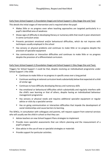## Early Years School Support 1 (Foundation Stage) and School Support 1 (Key Stage One and Two)

This details the initial stages of intervention and is required when the pupil:

- Makes little or no progress even when teaching approaches are targeted particularly in a pupil's identified area of weakness
- Shows signs of difficulty in developing literacy or numeracy skills that result in poor attainment in some curriculum areas
- Presents persistent emotional and/or behavioural difficulties, which do not improve with techniques usually employed in the school
- Has sensory or physical problems and continues to make little or no progress despite the provision of specialist equipment
- Has communication or interaction difficulties and continues to make little or no progress despite the provision of a differentiated curriculum.

## Early Years School Support 2 (Foundation Stage) and School Support 2 (Key Stage One and Two).

Triggers for School Support 2 could be that, despite receiving an individualised programme under School Support 1 the child:

- Continues to make little or no progress in specific areas over a long period
- Continues working at national curriculum levels substantially below that expected of a child of similar age
- Continues to have difficulty developing literacy and numeracy skills
- Has emotional or behavioural difficulties which substantially and regularly interfere with the child's own learning or that of others, despite having an individualised behaviour management programme
- Has sensory or physical needs and requires additional specialist equipment or regular advice or visits by a specialist service
- Has on going communication or interaction difficulties that impede the development of social relationships and cause barriers to learning.

The SENCo, in consultation with colleagues and parents, will request support from external services who will usually see the child in school so that they can:

- Advise teachers on new School Support Plans strategies to implement
- Provide more specialist assessments that can inform planning and the measurement of a pupil's progress
- Give advice in the use of new or specialist strategies or materials
- Provide support for particular activities.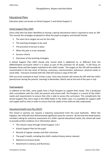## Educational Plans

Education plans are known as School Support 1 and School Support 2.

#### School Support Plans (SSP)

Every child who has been identified as having a special educational need is required to have an SSP. This records the strategies employed to allow the pupil to progress and should include:

- The short term targets set out for the child
- The teaching strategies to be used
- The provision to be put in place
- When the plan is to be reviewed
- Success criteria
- Outcomes of the teaching strategies.

A School Support Plan (SSP) should only record what is additional to, or different from the differentiated curriculum which is in place as part of the provision for all pupils. It will focus on between three and five targets matched to the child's needs. The targets on the SSP will normally be concentrated in the key areas of literacy, numeracy, communication, behaviour, physical needs or social skills. Everyone involved with the child will receive a copy of the SSP.

SSPs are to be reviewed at least 3 times a year. Each class teacher will review the SSP with the child's parent/carer during the parents' evenings in November, March and at the end of the year in July.

#### Pupil passports

In addition to the SSPs, some pupils have a Pupil Passport to support their needs. This is produced after consultation with the child, the parents and school staff. The Passport is a record of the child's needs and requirements to ensure that s/he is able to access the curriculum. This compliments the School Support Plan and is kept in the SEND folder in the child's class. It is available for support staff and supply staff to view in order to ensure that the needs of the child are fully understood.

## Educational Health Care Plan (EHCP)

The school or parents can request a statutory assessment from the Local Authority. When this happens, the child will have demonstrated significant cause for concern. By the time the Head teacher considers asking for statutory assessment of a child's special educational needs, the school will need to provide written evidence of or information about:

- The school's input through School Support 1 & 2
- School Support Plan for the pupil
- Records of regular reviews and their outcomes
- The pupil's health, including the child's medical history where relevant
- **National Curriculum levels**
- Attainment in Literacy and Numeracy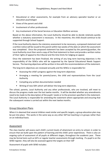- Educational or other assessments, for example from an advisory specialist teacher or an education psychologist
- Views of the parent and child
- Involvement of other professionals
- Any involvement of the Social Services or Education Welfare services

Based on the above information, the Local Authority should be able to decide relatively quickly whether a statutory assessment is necessary. In the meantime, the child should continue to be supported through School Support.

If the Local Authority deems the statutory assessment to be necessary, a proposed statement and a written notice will be issued to the parent within two weeks of the date on which the assessment was completed. Once the proposed statement has been accepted by the parents/guardian, the Local Authority must then send a copy of the final statement to them and provide a written notice of their rights of appeal to the tribunal and the time limits for lodging an appeal.

Once the statement has been finalised, the writing of any long term learning objectives is the responsibility of the SENCo who will be supported by the Special Educational Needs Support Service. The learning objectives will be written in line with the recommendations of the statement.

The long term objectives are reviewed annually and the SENCo is responsible for:

- Assessing the child's progress against the long term objectives
- Arranging a meeting for parents/carers, the child and representatives from the Local Authority
- Compiling any written documentation needed
- Writing of new SSPs which will deliver the long term objectives.

The school, parents, Local Authority and any other professionals, who are involved, will meet to discuss the progress made over the last twelve months. It will be decided whether any amendments need to be made to the description of the pupils' needs or to the provision specified in the statement. The Local Authority is responsible for amending the statement where appropriate and ensuring that the subsequent review is carried out within the next twelve months.

#### Group Education Plans

When it is deemed that several children need similar and specific targets, a group education plan may be put into place. This works in the same way as any other SSP but teaching is in groups rather than on an individual basis.

#### Assessment

The class teacher will assess each child's current levels of attainment on entry to school, in order to ensure that we build upon the pattern of learning and the child's prior experiences. There is also an ongoing cycle of assessment of all pupils at different stages, throughout the academic year. These may be formal tests such as SATs or regular teacher assessments through marking. If a pupil is on the SEND register, they will also be assessed against the targets on their SSP

Assessment of pupils with SEND includes: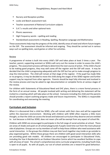- **Nursery and Reception profiles**
- Locke and Beech assessment tool.
- Teacher assessment of National Curriculum subjects
- S.A.T.s results and other optional tests
- Phonic awareness
- High Frequency words  $-$  spelling and reading
- Standardised assessments in Reading, Spelling, Receptive Language and Mathematics

These assessments help map the progress of the child, identify areas of need and inform future targets on the SSP. The assessment should be informal and ongoing. They should be carried out in various ways such as spelling tests, word games or other fun activities.

#### Review

A programme of review is built into every child's SSP and takes place at least 3 times a year. The teacher, parent, supporting assistant or SENCo will carry out the review in order to assess the child's progress. The assessment process will help to determine the next course of action. If the child is found to be making good progress, they may well come off the register and the SSP will cease. It may be decided that the child is progressing adequately with the SSP but has yet to make enough progress to stop the intervention. The child will remain at that stage of the register. If the pupil has made little or no progress, it may be decided to move the child along the stages of the SEND register and further support may be required from other agencies. Parents should be kept fully informed and involved in the review process and may be asked to sign documentation or complete forms at various stages of the review.

For children with Statements of Educational Need and EHC plans, there is a more formal process in the form of an annual review. All people involved with writing and delivering the statement will be invited to a meeting which will take place at the school. Everyone including the child and the parents should provide a report outlining progress made and future requirements. The SENCo is responsible for coordinating and overseeing the meeting.

## **Curriculum and Inclusion**

When it is discovered that a child has SEND, s/he will remain with their class and will be supported within the classroom environment. Working with children with SEND often requires a little more thought, so that the child can access the broad and balanced curriculum they deserve and are entitled to. Just because a child has SEND, does not mean s/he will be exempt from any aspect of school life.

Children with SEND are encouraged to participate in the full range of social activities at school. There are areas of shade and quiet on all school playgrounds if pupils need time out from the more physical side of playtimes. Groups are run by members of staff to help those children who need assistance with social interaction. In the groups the children may eat their lunch together stay inside or go outside to play organised games. Within these groups there are children with good social interaction skills who are providing good role models. All children are encouraged to participate in Educational Visits, including the Year 6 Residential to an Outdoor Education Centre which has excellent facilities to cope with all areas of need. The school's comprehensive extra-curricular programme, including Youth Club, is open to all pupils. As with all pupils, our out of school activities are a reward for good behaviour.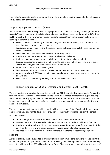This helps to promote positive behaviour from all our pupils, including those who have behaviour difficulties as part of their SEND.

# Supporting pupils with Dyslexia (SpLD)

We are committed to improving the learning experience of all pupils in school, including those with Dyslexia/Dyslexic tendencies. Pupils in school who are identifies to have specific learning difficulties (SpLD) are set with learning programmes/strategies to support them with overcoming barriers to learning. In school we have:

- Received whole staff training in understanding dyslexia and providing an environment and teaching style to support dyslexic pupils
- Specialised training in delivering dyslexic strategies, delivered externally by the SEND service for our SEND staff
- Invested money into 'NESSY' Dyslexia computer programme
- Used the Active Literacy Kit to encourage visual and tactile learning
- Undertaken on-going assessments and changed interventions, when required
- Ensured classrooms are dyslexia friendly with the use of clear labelling, eye level displays as well as a mix of typed and handwritten texts around school
- Administered DST tests to aid in diagnosis
- Regular communication to parents through parent meetings and parent evenings
- Worked closely with SEND advisors to ensure good progression of academic achievement for all SEND pupils.
- SENCo has received training working with the Dyslexia Association.

# Supporting pupils with Social, Emotional and Mental Health. (SEMH)

We are invested in improving the provision for both our SEMH and disadvantaged pupils. As a part of that commitment the school has worked hard to create a designated area for these pupils allowing them space to work, play and take part in therapeutic interventions in a safe environment. This has become our Home Hub. We hope to further develop this area to create a sensory area for those in need of a calm space.

The Inclusion support assistant will be undertaking accredited ELSA (Emotional literacy support assistant) training this year to develop our provision for the most vulnerable pupils in the school.

In school we have:

- Created a register of children who will benefit from time in our Home Hub
- Ensured that the Hub area is safe and free from interruption to allow children to feel safe
- Used the Hub instead of a PRU to keep interventions "in house" again for the benefit of the pupils so that feel safe and not unnecessarily moved out of a familiar environment
- Provided teacher training for the CPD of staff around vulnerable/disadvantaged pupils

## Support

A child with SEND can be supported in a variety of ways, from simple considerations such as sitting the child in an appropriate spot in the classroom, to providing specialist equipment to suit their learning need. All children with an SSP will receive some form of in-class support depending on the needs of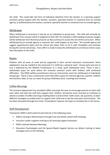the child. This could take the form of individual attention from the teacher or a learning support assistant; group support with the teacher, assistant, specialist teacher or someone from an outside agency; or withdrawal by the teacher, assistant, specialist teacher or someone from an outside agency.

## Withdrawal

When withdrawal is necessary it may be on an individual or group basis. The child will normally be withdrawn from a lesson which is targeted on their SSP, for example a child needing numeracy targets will be withdrawn from Numeracy lessons so they continue to access the rest of the curriculum. When withdrawal by an outside agency is required, this could happen at any time. The outside agency will suggest appointment dates and the school will select them to fit in with timetables and activities during the normal school day. Every effort is made to keep the withdrawal to a minimum and to cause least disruption to the child.

#### Rooms

Children with all areas of need will be supported in their normal classroom environment. Some adaptations may be needed to the classroom if a child has a physical need. Group work and one to one is delivered by the Welfare Practitioners in a small, quiet withdrawal room. There is also a withdrawal space for work where the Inclusion assistant works with children with emotional difficulties. The SEND welfare practitioners have an intervention room for withdrawal of individuals and groups. There is also a community room that offers space for external agencies, parents, children and teachers alike, to use as a base for group /individual work, meetings and reviews.

## Coffee Mornings

The Inclusion department has provided coffee mornings this year to encourage parents to meet with each other and with the staff who support their children. All parents have received an invitation to attend a number of coffee mornings enabling them to look at their child's work, ask questions, to learn different strategies to enable them to support their child and to see the classroom environment. This has been disrupted through the Covid -19 pandemic however we hope to reinstate this in the future.

## Staff Development

Training for SEND is both external and internal in the following areas:

- SENCo training is filtered down through inset and whole school staff meetings
- Inclusion Leader supports training to all Learning Support Assistants
- SENCo attends Network Meetings
- Education Psychologists and the Special Needs Support Service can deliver training in latest strategies and current thinking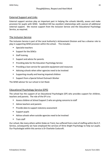## External Support and Links

External support services play an important part in helping the schools identify, assess and make provision for pupils with SEND. Sandford Hill has excellent relationships with sources of additional external support. We receive support from the Inclusion Service and the Educational Psychology Service, as required.

## The Inclusion Service

The Inclusion Service is part of the Local Authority's Achievement Division and has a diverse role to play in supporting SEND provision within the school. This includes:

- Specialist teachers
- Support for the SENCo
- Staff training
- Support and advice for parents
- Providing data for the Education Psychology Service
- Providing a loan service for specialist equipment and resources
- Advising schools when other agencies need to be involved
- Supporting visually and hearing impaired children
- Support from a Special School Outreach Worker

The SEND advisor for our school is Ceri Reed.

## Educational Psychology Service (EPS)

The school has the support of an Educational Psychologist (EP) who provides support for children, teachers and parents. The role of the EP is to:

- Assess children at School Support 2 who are giving concerns to staff
- Advise teachers and parents
- Provide data to support statutory assessment
- Support pupils
- Advise schools when outside agencies need to be involved
- Train staff

Our school, like many others within Stoke on Trent, has suffered from a lack of staffing within the E.P. Service, consequently we have employed the services of Shine Bright Psychology to help our pupils. Our Psychologist within this service is Dr Charlotte Cockcroft.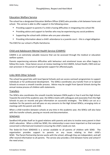# Education Welfare Service

The school has a designated Education Welfare Officer (EWO) who provides a link between home and school. This service is able to offer support in the following areas:

- Providing support to parents if a child is having difficulties in integrating into school life
- Providing advice and support to families who may be experiencing any social problems
- Supporting the school with children who are poor attenders
- Providing information about a child's attendance to a juvenile court this is a legal obligation

The EWO for our school is Phyllis Hartshorne.

# Child and Adolescent Mental Health Service (CAMHS)

CAMHS is an extremely valuable resource that can be accessed through the medical or education welfare system.

Parents experiencing extreme difficulties with behaviour and emotional issues are often happy to follow this route. Close liaison occurs at review meetings to link CAMHS, School Health, EWO and our own provision in the pursuit of appropriate support for affected pupils.

# Links With Other Schools

The school has good links with local Special Schools and can access outreach programmes to support individuals or for professional development. The SENCo coordinates any transfer from or to Special Schools to ensure a smooth transfer process. Advice may be sought from Special Schools during the annual review process of children with statements.

# Transfers

The SENCo also coordinates the smooth transfer between DSEN pupils in Year 6 and the High School. Towards the end of the academic year, the SENCo meets with colleagues and associates from the High Schools to pass on records and give information on successful strategies. The SENCo can act as a mediator for the parents and will pass on any concerns to the High School SENCo, arranging visits or meetings with the parent and child.

When a child transfers between schools at any time in the academic year, the SENCo will also liaise with the transfer schools, passing on records and documentation.

## SENDIASS

Sandford Hill prides itself on its good relations with parents and aims to involve every parent in their child's education. When a child has SEND, this relationship is even more important so that everyone concerned is informed and involved in ensuring the child's needs are met.

The Stoke-On-Trent SENDIASS is a service available to all parents of children with SEND. The organisation provides support to parents on any issues relating to their child's SEND. The Parent Partnership Service works with the school, although they are independent, and will offer neutral information to all parents. The service also provides a link between home and school if the need arises.